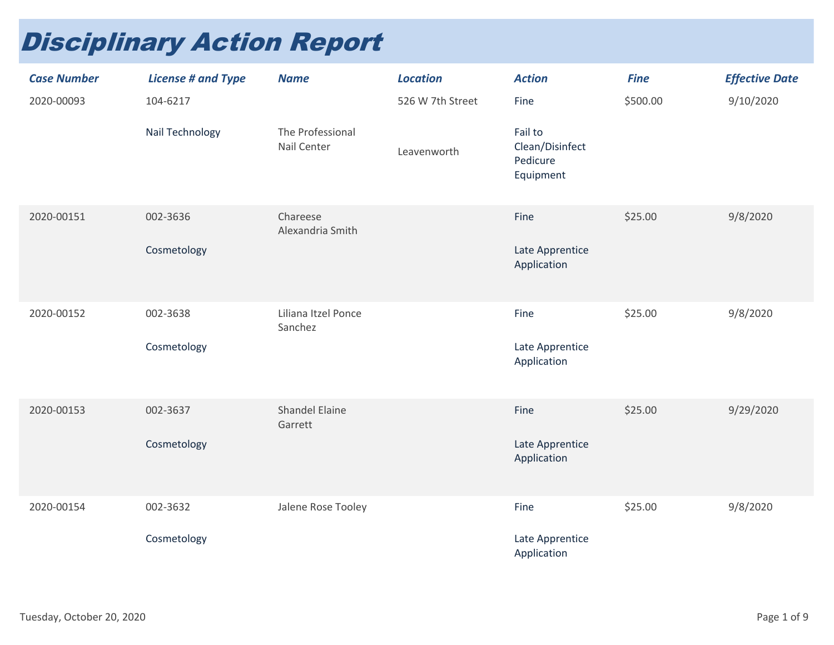## Disciplinary Action Report

| <b>Case Number</b> | <b>License # and Type</b> | <b>Name</b>                      | <b>Location</b>  | <b>Action</b>                                       | <b>Fine</b> | <b>Effective Date</b> |
|--------------------|---------------------------|----------------------------------|------------------|-----------------------------------------------------|-------------|-----------------------|
| 2020-00093         | 104-6217                  |                                  | 526 W 7th Street | Fine                                                | \$500.00    | 9/10/2020             |
|                    | Nail Technology           | The Professional<br>Nail Center  | Leavenworth      | Fail to<br>Clean/Disinfect<br>Pedicure<br>Equipment |             |                       |
| 2020-00151         | 002-3636                  | Chareese<br>Alexandria Smith     |                  | Fine                                                | \$25.00     | 9/8/2020              |
|                    | Cosmetology               |                                  |                  | Late Apprentice<br>Application                      |             |                       |
| 2020-00152         | 002-3638                  | Liliana Itzel Ponce<br>Sanchez   |                  | Fine                                                | \$25.00     | 9/8/2020              |
|                    | Cosmetology               |                                  |                  | Late Apprentice<br>Application                      |             |                       |
| 2020-00153         | 002-3637                  | <b>Shandel Elaine</b><br>Garrett |                  | Fine                                                | \$25.00     | 9/29/2020             |
|                    | Cosmetology               |                                  |                  | Late Apprentice<br>Application                      |             |                       |
| 2020-00154         | 002-3632                  | Jalene Rose Tooley               |                  | Fine                                                | \$25.00     | 9/8/2020              |
|                    | Cosmetology               |                                  |                  | Late Apprentice<br>Application                      |             |                       |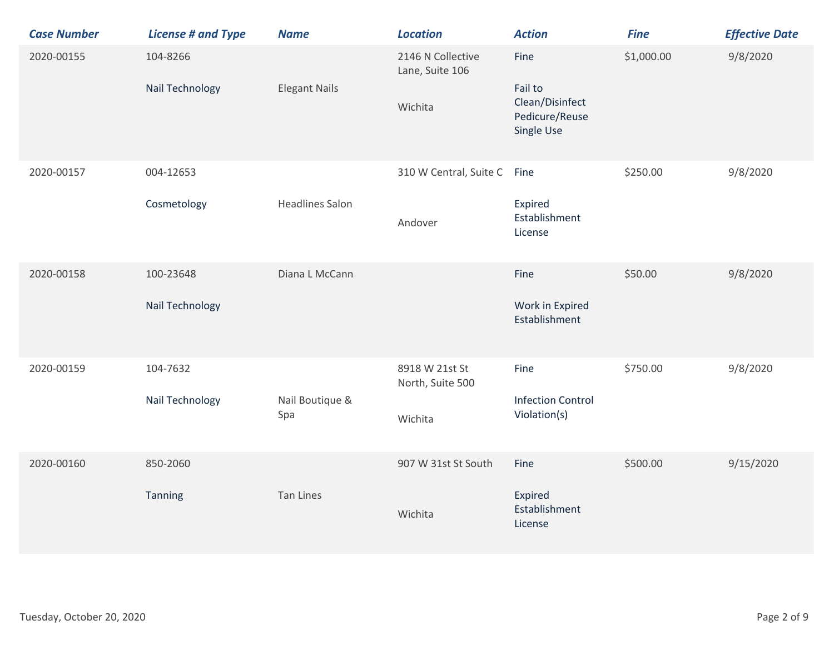| <b>Case Number</b> | <b>License # and Type</b>    | <b>Name</b>            | <b>Location</b>                                 | <b>Action</b>                                                      | <b>Fine</b> | <b>Effective Date</b> |
|--------------------|------------------------------|------------------------|-------------------------------------------------|--------------------------------------------------------------------|-------------|-----------------------|
| 2020-00155         | 104-8266<br>Nail Technology  | <b>Elegant Nails</b>   | 2146 N Collective<br>Lane, Suite 106<br>Wichita | Fine<br>Fail to<br>Clean/Disinfect<br>Pedicure/Reuse<br>Single Use | \$1,000.00  | 9/8/2020              |
| 2020-00157         | 004-12653<br>Cosmetology     | <b>Headlines Salon</b> | 310 W Central, Suite C<br>Andover               | Fine<br>Expired<br>Establishment<br>License                        | \$250.00    | 9/8/2020              |
| 2020-00158         | 100-23648<br>Nail Technology | Diana L McCann         |                                                 | Fine<br>Work in Expired<br>Establishment                           | \$50.00     | 9/8/2020              |
| 2020-00159         | 104-7632<br>Nail Technology  | Nail Boutique &<br>Spa | 8918 W 21st St<br>North, Suite 500<br>Wichita   | Fine<br><b>Infection Control</b><br>Violation(s)                   | \$750.00    | 9/8/2020              |
| 2020-00160         | 850-2060<br>Tanning          | <b>Tan Lines</b>       | 907 W 31st St South<br>Wichita                  | Fine<br>Expired<br>Establishment<br>License                        | \$500.00    | 9/15/2020             |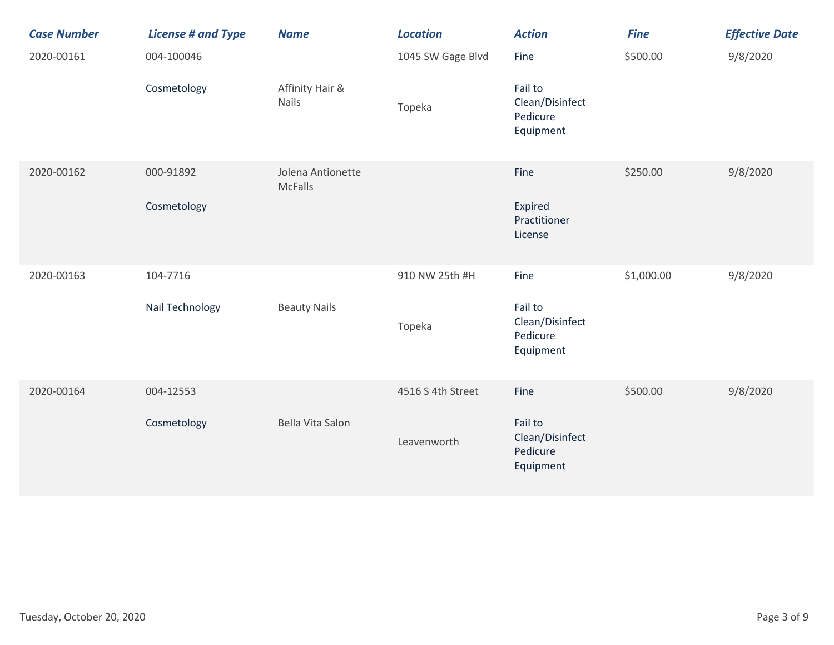| <b>Case Number</b> | <b>License # and Type</b> | <b>Name</b>                         | <b>Location</b>   | <b>Action</b>                                       | <b>Fine</b> | <b>Effective Date</b> |
|--------------------|---------------------------|-------------------------------------|-------------------|-----------------------------------------------------|-------------|-----------------------|
| 2020-00161         | 004-100046                |                                     | 1045 SW Gage Blvd | Fine                                                | \$500.00    | 9/8/2020              |
|                    | Cosmetology               | Affinity Hair &<br>Nails            | Topeka            | Fail to<br>Clean/Disinfect<br>Pedicure<br>Equipment |             |                       |
| 2020-00162         | 000-91892                 | Jolena Antionette<br><b>McFalls</b> |                   | Fine                                                | \$250.00    | 9/8/2020              |
|                    | Cosmetology               |                                     |                   | Expired<br>Practitioner<br>License                  |             |                       |
| 2020-00163         | 104-7716                  |                                     | 910 NW 25th #H    | Fine                                                | \$1,000.00  | 9/8/2020              |
|                    | Nail Technology           | <b>Beauty Nails</b>                 | Topeka            | Fail to<br>Clean/Disinfect<br>Pedicure<br>Equipment |             |                       |
| 2020-00164         | 004-12553                 |                                     | 4516 S 4th Street | Fine                                                | \$500.00    | 9/8/2020              |
|                    | Cosmetology               | Bella Vita Salon                    | Leavenworth       | Fail to<br>Clean/Disinfect<br>Pedicure<br>Equipment |             |                       |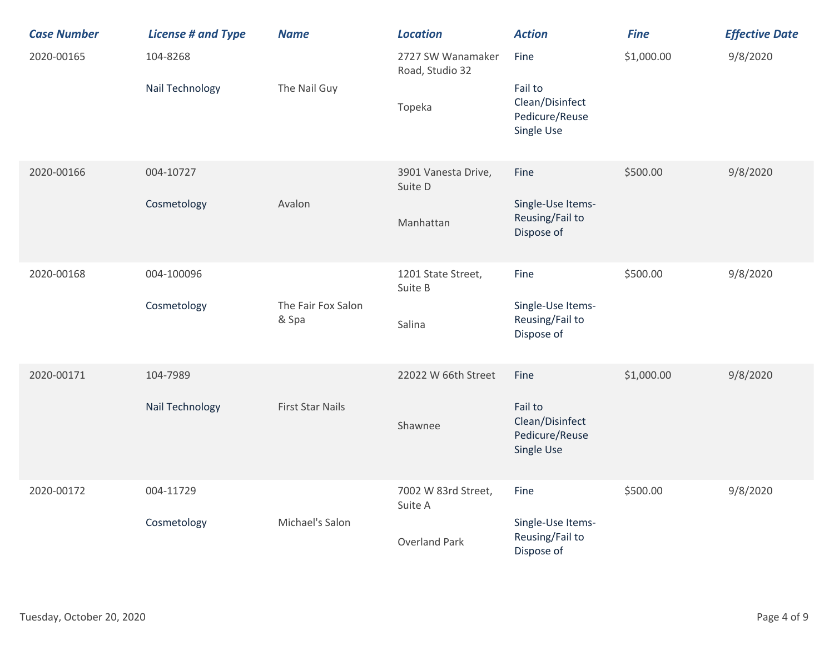| <b>Case Number</b> | <b>License # and Type</b>   | <b>Name</b>                 | <b>Location</b>                                        | <b>Action</b>                                                      | <b>Fine</b> | <b>Effective Date</b> |
|--------------------|-----------------------------|-----------------------------|--------------------------------------------------------|--------------------------------------------------------------------|-------------|-----------------------|
| 2020-00165         | 104-8268<br>Nail Technology | The Nail Guy                | 2727 SW Wanamaker<br>Road, Studio 32<br>Topeka         | Fine<br>Fail to<br>Clean/Disinfect<br>Pedicure/Reuse<br>Single Use | \$1,000.00  | 9/8/2020              |
| 2020-00166         | 004-10727<br>Cosmetology    | Avalon                      | 3901 Vanesta Drive,<br>Suite D<br>Manhattan            | Fine<br>Single-Use Items-<br>Reusing/Fail to<br>Dispose of         | \$500.00    | 9/8/2020              |
| 2020-00168         | 004-100096<br>Cosmetology   | The Fair Fox Salon<br>& Spa | 1201 State Street,<br>Suite B<br>Salina                | Fine<br>Single-Use Items-<br>Reusing/Fail to<br>Dispose of         | \$500.00    | 9/8/2020              |
| 2020-00171         | 104-7989<br>Nail Technology | <b>First Star Nails</b>     | 22022 W 66th Street<br>Shawnee                         | Fine<br>Fail to<br>Clean/Disinfect<br>Pedicure/Reuse<br>Single Use | \$1,000.00  | 9/8/2020              |
| 2020-00172         | 004-11729<br>Cosmetology    | Michael's Salon             | 7002 W 83rd Street,<br>Suite A<br><b>Overland Park</b> | Fine<br>Single-Use Items-<br>Reusing/Fail to<br>Dispose of         | \$500.00    | 9/8/2020              |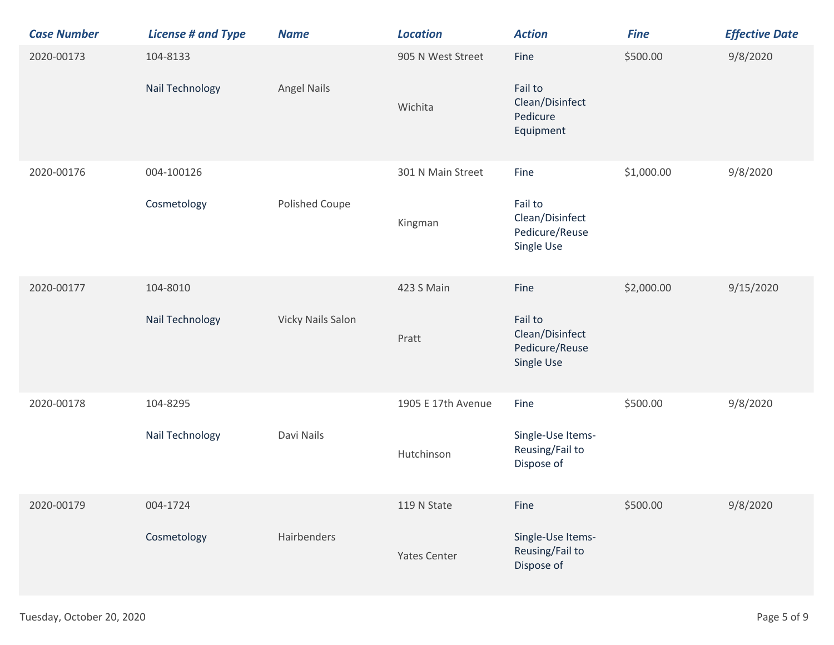| <b>Case Number</b> | <b>License # and Type</b>          | <b>Name</b>              | <b>Location</b>                    | <b>Action</b>                                                      | <b>Fine</b> | <b>Effective Date</b> |
|--------------------|------------------------------------|--------------------------|------------------------------------|--------------------------------------------------------------------|-------------|-----------------------|
| 2020-00173         | 104-8133<br>Nail Technology        | <b>Angel Nails</b>       | 905 N West Street<br>Wichita       | Fine<br>Fail to<br>Clean/Disinfect<br>Pedicure<br>Equipment        | \$500.00    | 9/8/2020              |
| 2020-00176         | 004-100126<br>Cosmetology          | Polished Coupe           | 301 N Main Street<br>Kingman       | Fine<br>Fail to<br>Clean/Disinfect<br>Pedicure/Reuse<br>Single Use | \$1,000.00  | 9/8/2020              |
| 2020-00177         | 104-8010<br><b>Nail Technology</b> | <b>Vicky Nails Salon</b> | 423 S Main<br>Pratt                | Fine<br>Fail to<br>Clean/Disinfect<br>Pedicure/Reuse<br>Single Use | \$2,000.00  | 9/15/2020             |
| 2020-00178         | 104-8295<br>Nail Technology        | Davi Nails               | 1905 E 17th Avenue<br>Hutchinson   | Fine<br>Single-Use Items-<br>Reusing/Fail to<br>Dispose of         | \$500.00    | 9/8/2020              |
| 2020-00179         | 004-1724<br>Cosmetology            | Hairbenders              | 119 N State<br><b>Yates Center</b> | Fine<br>Single-Use Items-<br>Reusing/Fail to<br>Dispose of         | \$500.00    | 9/8/2020              |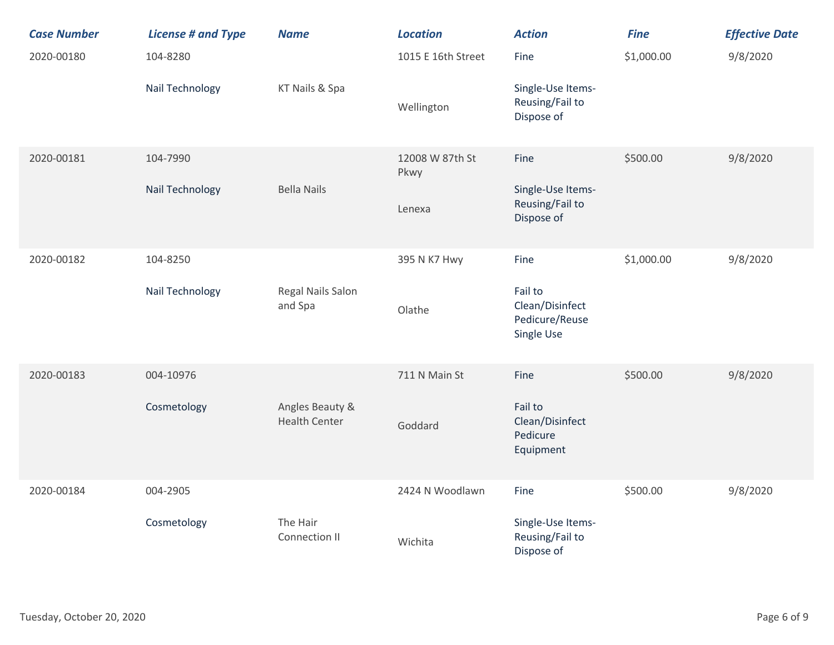| <b>Case Number</b> | <b>License # and Type</b> | <b>Name</b>                             | <b>Location</b>         | <b>Action</b>                                              | <b>Fine</b> | <b>Effective Date</b> |
|--------------------|---------------------------|-----------------------------------------|-------------------------|------------------------------------------------------------|-------------|-----------------------|
| 2020-00180         | 104-8280                  |                                         | 1015 E 16th Street      | Fine                                                       | \$1,000.00  | 9/8/2020              |
|                    | Nail Technology           | KT Nails & Spa                          | Wellington              | Single-Use Items-<br>Reusing/Fail to<br>Dispose of         |             |                       |
| 2020-00181         | 104-7990                  |                                         | 12008 W 87th St<br>Pkwy | Fine                                                       | \$500.00    | 9/8/2020              |
|                    | Nail Technology           | <b>Bella Nails</b>                      | Lenexa                  | Single-Use Items-<br>Reusing/Fail to<br>Dispose of         |             |                       |
| 2020-00182         | 104-8250                  |                                         | 395 N K7 Hwy            | Fine                                                       | \$1,000.00  | 9/8/2020              |
|                    | Nail Technology           | Regal Nails Salon<br>and Spa            | Olathe                  | Fail to<br>Clean/Disinfect<br>Pedicure/Reuse<br>Single Use |             |                       |
| 2020-00183         | 004-10976                 |                                         | 711 N Main St           | Fine                                                       | \$500.00    | 9/8/2020              |
|                    | Cosmetology               | Angles Beauty &<br><b>Health Center</b> | Goddard                 | Fail to<br>Clean/Disinfect<br>Pedicure<br>Equipment        |             |                       |
| 2020-00184         | 004-2905                  |                                         | 2424 N Woodlawn         | Fine                                                       | \$500.00    | 9/8/2020              |
|                    | Cosmetology               | The Hair<br>Connection II               | Wichita                 | Single-Use Items-<br>Reusing/Fail to<br>Dispose of         |             |                       |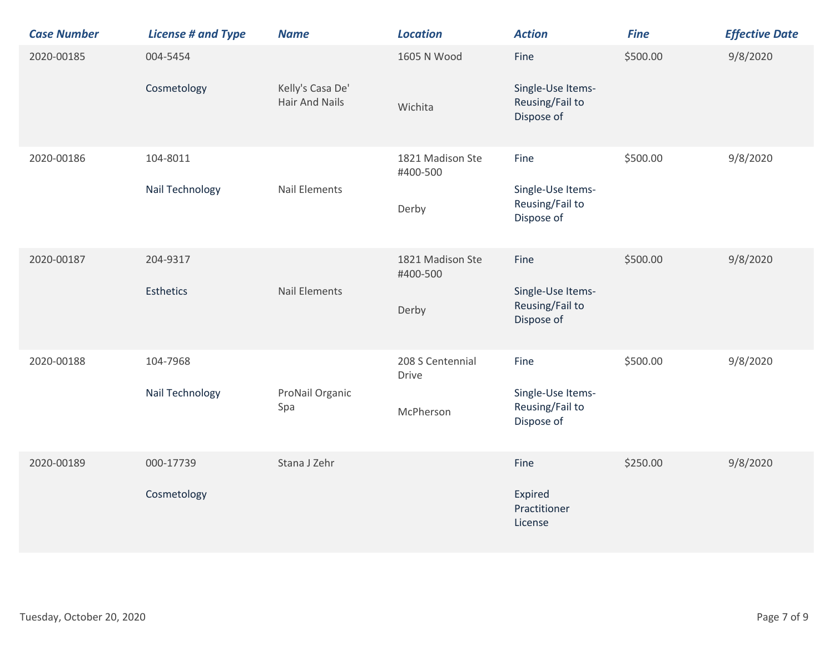| <b>Case Number</b> | <b>License # and Type</b>    | <b>Name</b>                               | <b>Location</b>                               | <b>Action</b>                                              | <b>Fine</b> | <b>Effective Date</b> |
|--------------------|------------------------------|-------------------------------------------|-----------------------------------------------|------------------------------------------------------------|-------------|-----------------------|
| 2020-00185         | 004-5454<br>Cosmetology      | Kelly's Casa De'<br><b>Hair And Nails</b> | 1605 N Wood<br>Wichita                        | Fine<br>Single-Use Items-<br>Reusing/Fail to<br>Dispose of | \$500.00    | 9/8/2020              |
| 2020-00186         | 104-8011<br>Nail Technology  | <b>Nail Elements</b>                      | 1821 Madison Ste<br>#400-500<br>Derby         | Fine<br>Single-Use Items-<br>Reusing/Fail to<br>Dispose of | \$500.00    | 9/8/2020              |
| 2020-00187         | 204-9317<br><b>Esthetics</b> | <b>Nail Elements</b>                      | 1821 Madison Ste<br>#400-500<br>Derby         | Fine<br>Single-Use Items-<br>Reusing/Fail to<br>Dispose of | \$500.00    | 9/8/2020              |
| 2020-00188         | 104-7968<br>Nail Technology  | ProNail Organic<br>Spa                    | 208 S Centennial<br><b>Drive</b><br>McPherson | Fine<br>Single-Use Items-<br>Reusing/Fail to<br>Dispose of | \$500.00    | 9/8/2020              |
| 2020-00189         | 000-17739<br>Cosmetology     | Stana J Zehr                              |                                               | Fine<br>Expired<br>Practitioner<br>License                 | \$250.00    | 9/8/2020              |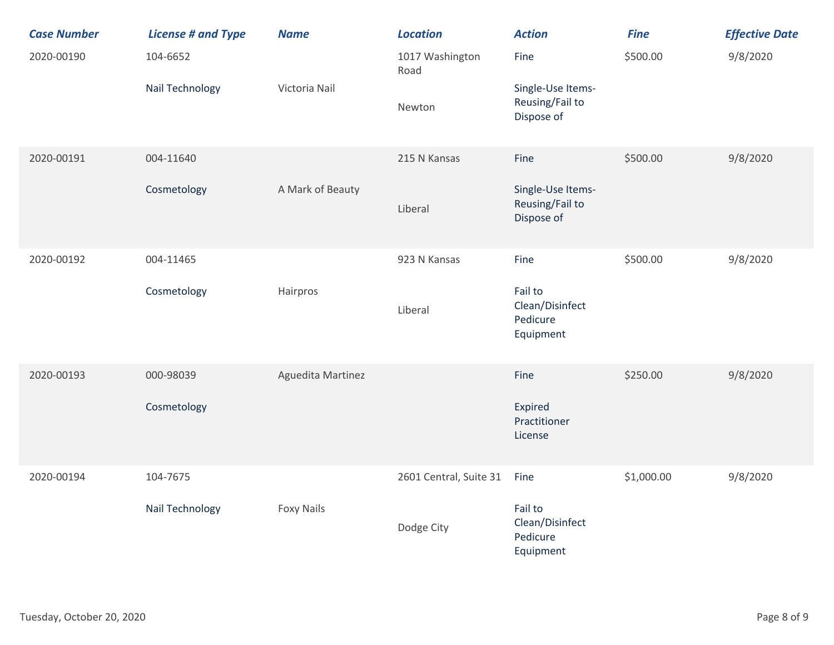| <b>Case Number</b> | <b>License # and Type</b> | <b>Name</b>       | <b>Location</b>         | <b>Action</b>                                       | <b>Fine</b> | <b>Effective Date</b> |
|--------------------|---------------------------|-------------------|-------------------------|-----------------------------------------------------|-------------|-----------------------|
| 2020-00190         | 104-6652                  |                   | 1017 Washington<br>Road | Fine                                                | \$500.00    | 9/8/2020              |
|                    | Nail Technology           | Victoria Nail     | Newton                  | Single-Use Items-<br>Reusing/Fail to<br>Dispose of  |             |                       |
| 2020-00191         | 004-11640                 |                   | 215 N Kansas            | Fine                                                | \$500.00    | 9/8/2020              |
|                    | Cosmetology               | A Mark of Beauty  | Liberal                 | Single-Use Items-<br>Reusing/Fail to<br>Dispose of  |             |                       |
| 2020-00192         | 004-11465                 |                   | 923 N Kansas            | Fine                                                | \$500.00    | 9/8/2020              |
|                    | Cosmetology               | Hairpros          | Liberal                 | Fail to<br>Clean/Disinfect<br>Pedicure<br>Equipment |             |                       |
| 2020-00193         | 000-98039                 | Aguedita Martinez |                         | Fine                                                | \$250.00    | 9/8/2020              |
|                    | Cosmetology               |                   |                         | Expired<br>Practitioner<br>License                  |             |                       |
| 2020-00194         | 104-7675                  |                   | 2601 Central, Suite 31  | Fine                                                | \$1,000.00  | 9/8/2020              |
|                    | Nail Technology           | <b>Foxy Nails</b> | Dodge City              | Fail to<br>Clean/Disinfect<br>Pedicure<br>Equipment |             |                       |